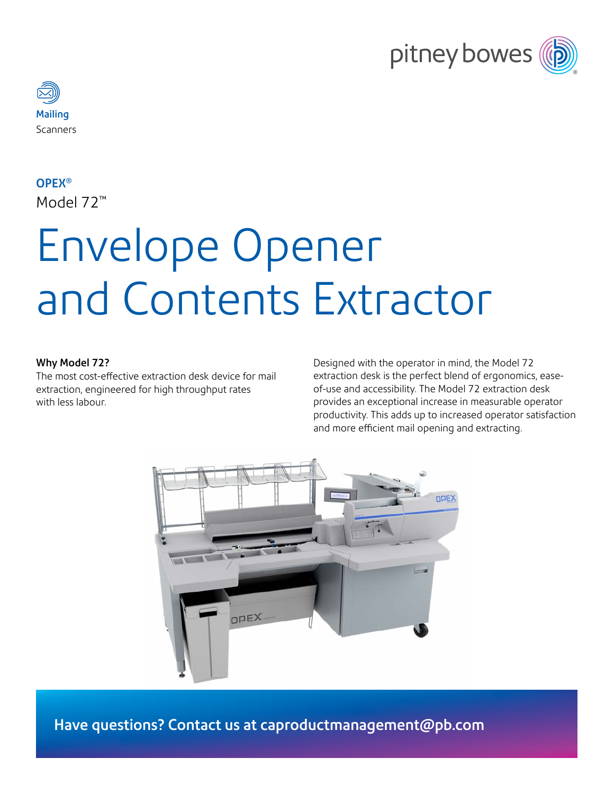



### OPEX®

Model 72™

# Envelope Opener and Contents Extractor

#### Why Model 72?

The most cost-effective extraction desk device for mail extraction, engineered for high throughput rates with less labour.

Designed with the operator in mind, the Model 72 extraction desk is the perfect blend of ergonomics, easeof-use and accessibility. The Model 72 extraction desk provides an exceptional increase in measurable operator productivity. This adds up to increased operator satisfaction and more efficient mail opening and extracting.



Have questions? Contact us at <caproductmanagement@pb.com>